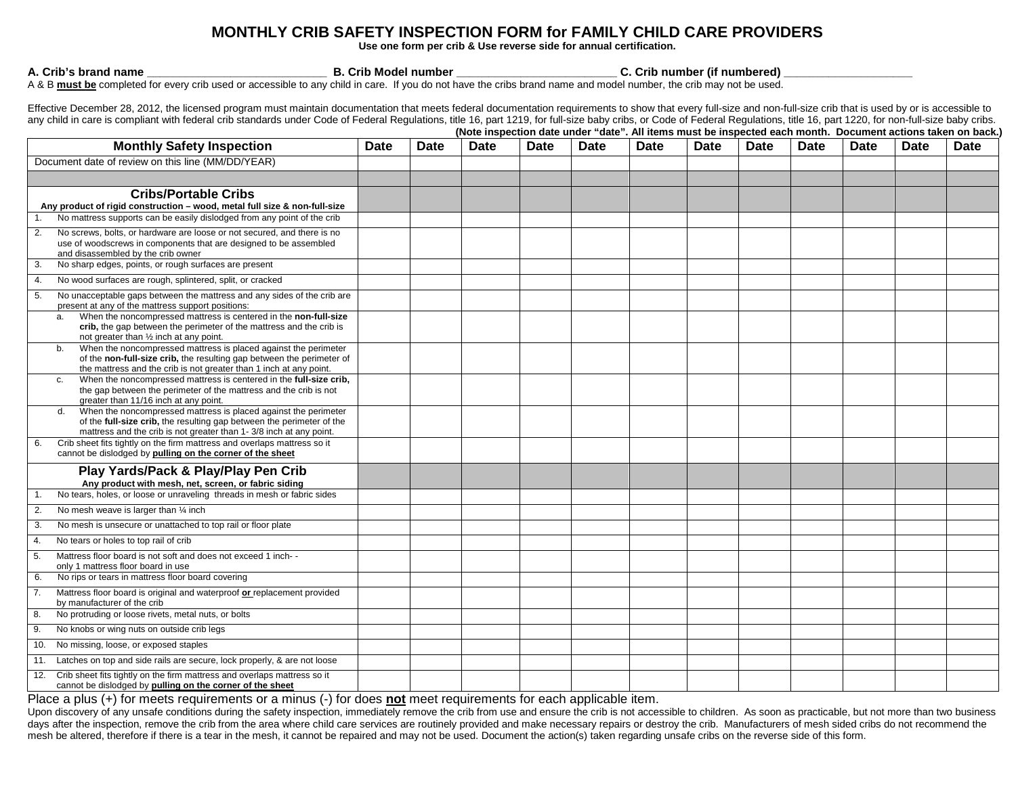## **MONTHLY CRIB SAFETY INSPECTION FORM for FAMILY CHILD CARE PROVIDERS**

**Use one form per crib & Use reverse side for annual certification.**

A. Crib's brand name **and the contract of the set of the set of the set of the S** C. Crib number (if numbered)  $\mathbf{B}$ . Crib Model number **and S** C. Crib number (if numbered)

A & B **must be** completed for every crib used or accessible to any child in care. If you do not have the cribs brand name and model number, the crib may not be used.

Effective December 28, 2012, the licensed program must maintain documentation that meets federal documentation requirements to show that every full-size and non-full-size crib that is used by or is accessible to any child in care is compliant with federal crib standards under Code of Federal Regulations, title 16, part 1219, for full-size baby cribs, or Code of Federal Regulations, title 16, part 1220, for non-full-size baby cribs

|                                                                                                                                                                                                                      |      |      |      |             |             | (Note inspection date under "date". All items must be inspected each month. Document actions taken on back.) |      |             |      |      |             |             |
|----------------------------------------------------------------------------------------------------------------------------------------------------------------------------------------------------------------------|------|------|------|-------------|-------------|--------------------------------------------------------------------------------------------------------------|------|-------------|------|------|-------------|-------------|
| <b>Monthly Safety Inspection</b>                                                                                                                                                                                     | Date | Date | Date | <b>Date</b> | <b>Date</b> | Date                                                                                                         | Date | <b>Date</b> | Date | Date | <b>Date</b> | <b>Date</b> |
| Document date of review on this line (MM/DD/YEAR)                                                                                                                                                                    |      |      |      |             |             |                                                                                                              |      |             |      |      |             |             |
|                                                                                                                                                                                                                      |      |      |      |             |             |                                                                                                              |      |             |      |      |             |             |
| <b>Cribs/Portable Cribs</b><br>Any product of rigid construction – wood, metal full size & non-full-size                                                                                                             |      |      |      |             |             |                                                                                                              |      |             |      |      |             |             |
| No mattress supports can be easily dislodged from any point of the crib                                                                                                                                              |      |      |      |             |             |                                                                                                              |      |             |      |      |             |             |
| No screws, bolts, or hardware are loose or not secured, and there is no<br>2.<br>use of woodscrews in components that are designed to be assembled<br>and disassembled by the crib owner                             |      |      |      |             |             |                                                                                                              |      |             |      |      |             |             |
| No sharp edges, points, or rough surfaces are present<br>3.                                                                                                                                                          |      |      |      |             |             |                                                                                                              |      |             |      |      |             |             |
| No wood surfaces are rough, splintered, split, or cracked<br>4.                                                                                                                                                      |      |      |      |             |             |                                                                                                              |      |             |      |      |             |             |
| No unacceptable gaps between the mattress and any sides of the crib are<br>5.<br>present at any of the mattress support positions:<br>When the noncompressed mattress is centered in the non-full-size<br>a.         |      |      |      |             |             |                                                                                                              |      |             |      |      |             |             |
| crib, the gap between the perimeter of the mattress and the crib is<br>not greater than 1/2 inch at any point.                                                                                                       |      |      |      |             |             |                                                                                                              |      |             |      |      |             |             |
| When the noncompressed mattress is placed against the perimeter<br>b.<br>of the non-full-size crib, the resulting gap between the perimeter of<br>the mattress and the crib is not greater than 1 inch at any point. |      |      |      |             |             |                                                                                                              |      |             |      |      |             |             |
| When the noncompressed mattress is centered in the full-size crib,<br>c.<br>the gap between the perimeter of the mattress and the crib is not<br>greater than 11/16 inch at any point.                               |      |      |      |             |             |                                                                                                              |      |             |      |      |             |             |
| When the noncompressed mattress is placed against the perimeter<br>d.<br>of the full-size crib, the resulting gap between the perimeter of the<br>mattress and the crib is not greater than 1-3/8 inch at any point. |      |      |      |             |             |                                                                                                              |      |             |      |      |             |             |
| Crib sheet fits tightly on the firm mattress and overlaps mattress so it<br>6.<br>cannot be dislodged by pulling on the corner of the sheet                                                                          |      |      |      |             |             |                                                                                                              |      |             |      |      |             |             |
| Play Yards/Pack & Play/Play Pen Crib<br>Any product with mesh, net, screen, or fabric siding                                                                                                                         |      |      |      |             |             |                                                                                                              |      |             |      |      |             |             |
| No tears, holes, or loose or unraveling threads in mesh or fabric sides                                                                                                                                              |      |      |      |             |             |                                                                                                              |      |             |      |      |             |             |
| 2.<br>No mesh weave is larger than 1/4 inch                                                                                                                                                                          |      |      |      |             |             |                                                                                                              |      |             |      |      |             |             |
| No mesh is unsecure or unattached to top rail or floor plate<br>3.                                                                                                                                                   |      |      |      |             |             |                                                                                                              |      |             |      |      |             |             |
| No tears or holes to top rail of crib<br>4.                                                                                                                                                                          |      |      |      |             |             |                                                                                                              |      |             |      |      |             |             |
| Mattress floor board is not soft and does not exceed 1 inch--<br>5.<br>only 1 mattress floor board in use                                                                                                            |      |      |      |             |             |                                                                                                              |      |             |      |      |             |             |
| No rips or tears in mattress floor board covering<br>6.                                                                                                                                                              |      |      |      |             |             |                                                                                                              |      |             |      |      |             |             |
| Mattress floor board is original and waterproof or replacement provided<br>by manufacturer of the crib                                                                                                               |      |      |      |             |             |                                                                                                              |      |             |      |      |             |             |
| No protruding or loose rivets, metal nuts, or bolts<br>8.                                                                                                                                                            |      |      |      |             |             |                                                                                                              |      |             |      |      |             |             |
| 9.<br>No knobs or wing nuts on outside crib legs                                                                                                                                                                     |      |      |      |             |             |                                                                                                              |      |             |      |      |             |             |
| No missing, loose, or exposed staples<br>10.                                                                                                                                                                         |      |      |      |             |             |                                                                                                              |      |             |      |      |             |             |
| Latches on top and side rails are secure, lock properly, & are not loose<br>11.                                                                                                                                      |      |      |      |             |             |                                                                                                              |      |             |      |      |             |             |
| 12.<br>Crib sheet fits tightly on the firm mattress and overlaps mattress so it<br>cannot be dislodged by pulling on the corner of the sheet                                                                         |      |      |      |             |             |                                                                                                              |      |             |      |      |             |             |

Place a plus (+) for meets requirements or a minus (-) for does not meet requirements for each applicable item.<br>Upon discovery of any unsafe conditions during the safety inspection, immediately remove the crib from use and days after the inspection, remove the crib from the area where child care services are routinely provided and make necessary repairs or destroy the crib. Manufacturers of mesh sided cribs do not recommend the mesh be altered, therefore if there is a tear in the mesh, it cannot be repaired and may not be used. Document the action(s) taken regarding unsafe cribs on the reverse side of this form.